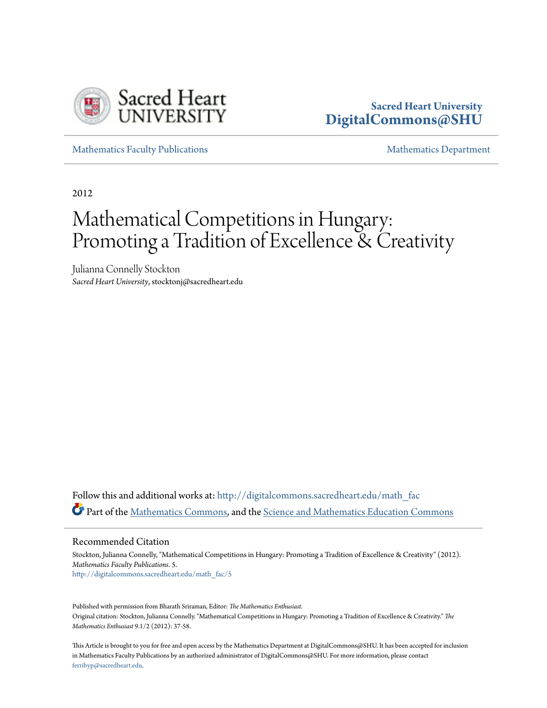

## **Sacred Heart University [DigitalCommons@SHU](http://digitalcommons.sacredheart.edu?utm_source=digitalcommons.sacredheart.edu%2Fmath_fac%2F5&utm_medium=PDF&utm_campaign=PDFCoverPages)**

[Mathematics Faculty Publications](http://digitalcommons.sacredheart.edu/math_fac?utm_source=digitalcommons.sacredheart.edu%2Fmath_fac%2F5&utm_medium=PDF&utm_campaign=PDFCoverPages) and [Mathematics Department](http://digitalcommons.sacredheart.edu/math?utm_source=digitalcommons.sacredheart.edu%2Fmath_fac%2F5&utm_medium=PDF&utm_campaign=PDFCoverPages) Mathematics Department

2012

# Mathematical Competitions in Hungary: Promoting a Tradition of Excellence & Creativity

Julianna Connelly Stockton *Sacred Heart University*, stocktonj@sacredheart.edu

Follow this and additional works at: [http://digitalcommons.sacredheart.edu/math\\_fac](http://digitalcommons.sacredheart.edu/math_fac?utm_source=digitalcommons.sacredheart.edu%2Fmath_fac%2F5&utm_medium=PDF&utm_campaign=PDFCoverPages) Part of the [Mathematics Commons](https://network.bepress.com/hgg/discipline/174?utm_source=digitalcommons.sacredheart.edu%2Fmath_fac%2F5&utm_medium=PDF&utm_campaign=PDFCoverPages), and the [Science and Mathematics Education Commons](https://network.bepress.com/hgg/discipline/800?utm_source=digitalcommons.sacredheart.edu%2Fmath_fac%2F5&utm_medium=PDF&utm_campaign=PDFCoverPages)

Recommended Citation

Stockton, Julianna Connelly, "Mathematical Competitions in Hungary: Promoting a Tradition of Excellence & Creativity" (2012). *Mathematics Faculty Publications*. 5. [http://digitalcommons.sacredheart.edu/math\\_fac/5](http://digitalcommons.sacredheart.edu/math_fac/5?utm_source=digitalcommons.sacredheart.edu%2Fmath_fac%2F5&utm_medium=PDF&utm_campaign=PDFCoverPages)

Published with permission from Bharath Sriraman, Editor: *The Mathematics Enthusiast*. Original citation: Stockton, Julianna Connelly. "Mathematical Competitions in Hungary: Promoting a Tradition of Excellence & Creativity." *The Mathematics Enthusiast* 9.1/2 (2012): 37-58.

This Article is brought to you for free and open access by the Mathematics Department at DigitalCommons@SHU. It has been accepted for inclusion in Mathematics Faculty Publications by an authorized administrator of DigitalCommons@SHU. For more information, please contact [ferribyp@sacredheart.edu](mailto:ferribyp@sacredheart.edu).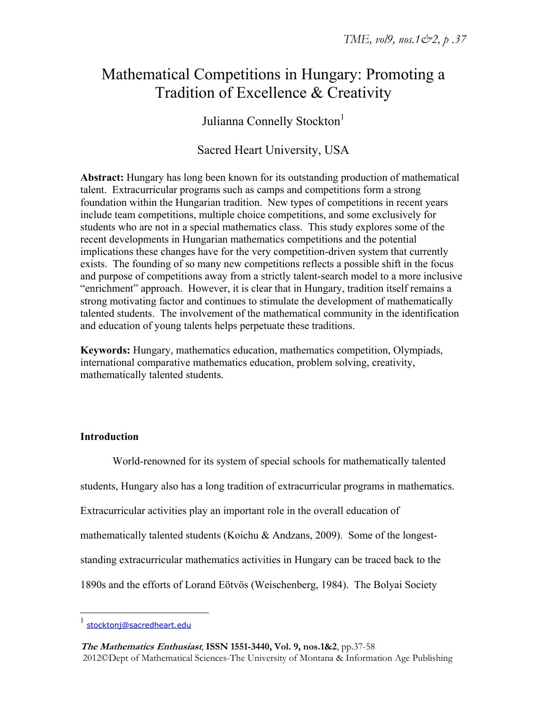# Mathematical Competitions in Hungary: Promoting a Tradition of Excellence & Creativity

Julianna Connelly Stockton<sup>1</sup>

Sacred Heart University, USA

**Abstract:** Hungary has long been known for its outstanding production of mathematical talent. Extracurricular programs such as camps and competitions form a strong foundation within the Hungarian tradition. New types of competitions in recent years include team competitions, multiple choice competitions, and some exclusively for students who are not in a special mathematics class. This study explores some of the recent developments in Hungarian mathematics competitions and the potential implications these changes have for the very competition-driven system that currently exists. The founding of so many new competitions reflects a possible shift in the focus and purpose of competitions away from a strictly talent-search model to a more inclusive "enrichment" approach. However, it is clear that in Hungary, tradition itself remains a strong motivating factor and continues to stimulate the development of mathematically talented students. The involvement of the mathematical community in the identification and education of young talents helps perpetuate these traditions.

**Keywords:** Hungary, mathematics education, mathematics competition, Olympiads, international comparative mathematics education, problem solving, creativity, mathematically talented students.

### **Introduction**

World-renowned for its system of special schools for mathematically talented students, Hungary also has a long tradition of extracurricular programs in mathematics. Extracurricular activities play an important role in the overall education of mathematically talented students (Koichu & Andzans, 2009). Some of the longeststanding extracurricular mathematics activities in Hungary can be traced back to the 1890s and the efforts of Lorand Eötvös (Weischenberg, 1984). The Bolyai Society

 $\overline{a}$ 

<sup>1</sup> stocktonj@sacredheart.edu

**The Mathematics Enthusiast**, **ISSN 1551-3440, Vol. 9, nos.1&2**, pp.37-58 2012©Dept of Mathematical Sciences-The University of Montana & Information Age Publishing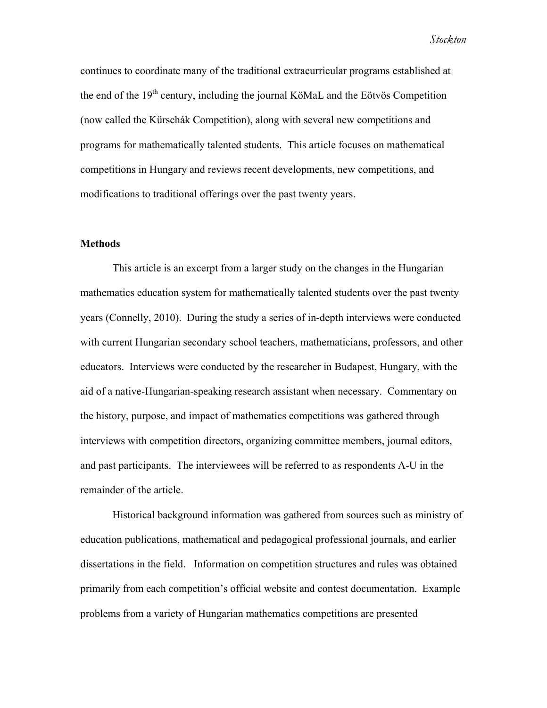continues to coordinate many of the traditional extracurricular programs established at the end of the  $19<sup>th</sup>$  century, including the journal KöMaL and the Eötvös Competition (now called the Kürschák Competition), along with several new competitions and programs for mathematically talented students. This article focuses on mathematical competitions in Hungary and reviews recent developments, new competitions, and modifications to traditional offerings over the past twenty years.

#### **Methods**

This article is an excerpt from a larger study on the changes in the Hungarian mathematics education system for mathematically talented students over the past twenty years (Connelly, 2010). During the study a series of in-depth interviews were conducted with current Hungarian secondary school teachers, mathematicians, professors, and other educators. Interviews were conducted by the researcher in Budapest, Hungary, with the aid of a native-Hungarian-speaking research assistant when necessary. Commentary on the history, purpose, and impact of mathematics competitions was gathered through interviews with competition directors, organizing committee members, journal editors, and past participants. The interviewees will be referred to as respondents A-U in the remainder of the article.

Historical background information was gathered from sources such as ministry of education publications, mathematical and pedagogical professional journals, and earlier dissertations in the field. Information on competition structures and rules was obtained primarily from each competition's official website and contest documentation. Example problems from a variety of Hungarian mathematics competitions are presented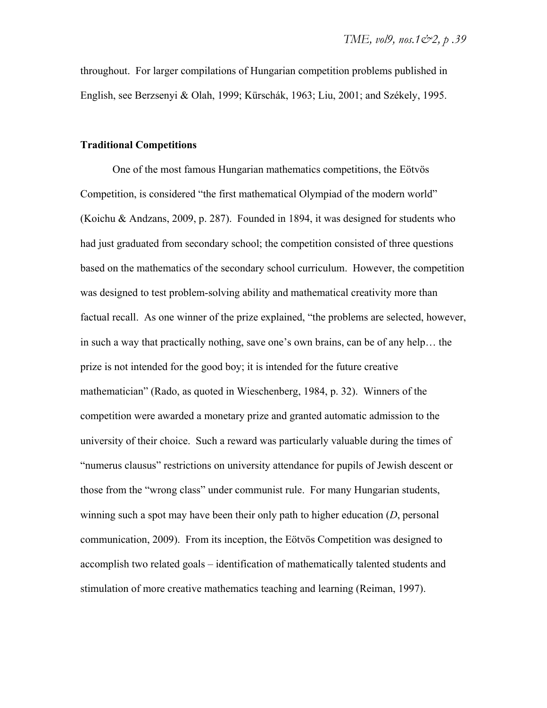throughout. For larger compilations of Hungarian competition problems published in English, see Berzsenyi & Olah, 1999; Kürschák, 1963; Liu, 2001; and Székely, 1995.

#### **Traditional Competitions**

One of the most famous Hungarian mathematics competitions, the Eötvös Competition, is considered "the first mathematical Olympiad of the modern world" (Koichu & Andzans, 2009, p. 287). Founded in 1894, it was designed for students who had just graduated from secondary school; the competition consisted of three questions based on the mathematics of the secondary school curriculum. However, the competition was designed to test problem-solving ability and mathematical creativity more than factual recall. As one winner of the prize explained, "the problems are selected, however, in such a way that practically nothing, save one's own brains, can be of any help… the prize is not intended for the good boy; it is intended for the future creative mathematician" (Rado, as quoted in Wieschenberg, 1984, p. 32). Winners of the competition were awarded a monetary prize and granted automatic admission to the university of their choice. Such a reward was particularly valuable during the times of "numerus clausus" restrictions on university attendance for pupils of Jewish descent or those from the "wrong class" under communist rule. For many Hungarian students, winning such a spot may have been their only path to higher education (*D*, personal communication, 2009). From its inception, the Eötvös Competition was designed to accomplish two related goals – identification of mathematically talented students and stimulation of more creative mathematics teaching and learning (Reiman, 1997).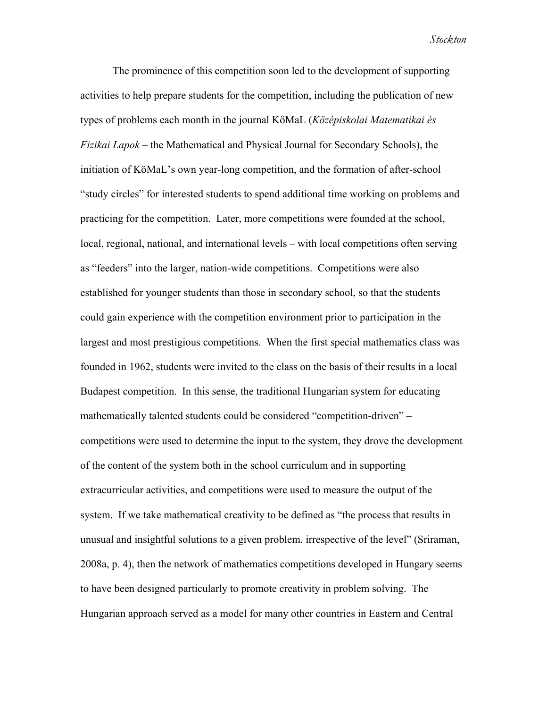The prominence of this competition soon led to the development of supporting activities to help prepare students for the competition, including the publication of new types of problems each month in the journal KöMaL (*Középiskolai Matematikai és Fizikai Lapok* – the Mathematical and Physical Journal for Secondary Schools), the initiation of KöMaL's own year-long competition, and the formation of after-school "study circles" for interested students to spend additional time working on problems and practicing for the competition. Later, more competitions were founded at the school, local, regional, national, and international levels – with local competitions often serving as "feeders" into the larger, nation-wide competitions. Competitions were also established for younger students than those in secondary school, so that the students could gain experience with the competition environment prior to participation in the largest and most prestigious competitions. When the first special mathematics class was founded in 1962, students were invited to the class on the basis of their results in a local Budapest competition. In this sense, the traditional Hungarian system for educating mathematically talented students could be considered "competition-driven" – competitions were used to determine the input to the system, they drove the development of the content of the system both in the school curriculum and in supporting extracurricular activities, and competitions were used to measure the output of the system. If we take mathematical creativity to be defined as "the process that results in unusual and insightful solutions to a given problem, irrespective of the level" (Sriraman, 2008a, p. 4), then the network of mathematics competitions developed in Hungary seems to have been designed particularly to promote creativity in problem solving. The Hungarian approach served as a model for many other countries in Eastern and Central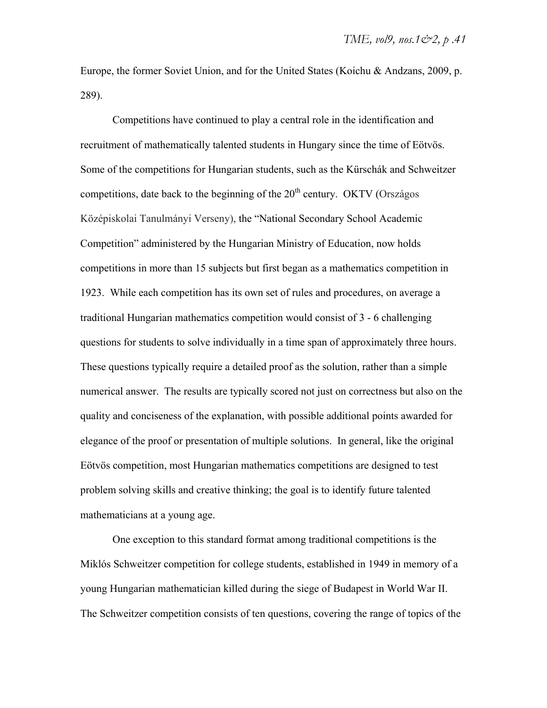Europe, the former Soviet Union, and for the United States (Koichu & Andzans, 2009, p. 289).

Competitions have continued to play a central role in the identification and recruitment of mathematically talented students in Hungary since the time of Eötvös. Some of the competitions for Hungarian students, such as the Kürschák and Schweitzer competitions, date back to the beginning of the  $20<sup>th</sup>$  century. OKTV (Országos Középiskolai Tanulmányi Verseny), the "National Secondary School Academic Competition" administered by the Hungarian Ministry of Education, now holds competitions in more than 15 subjects but first began as a mathematics competition in 1923. While each competition has its own set of rules and procedures, on average a traditional Hungarian mathematics competition would consist of 3 - 6 challenging questions for students to solve individually in a time span of approximately three hours. These questions typically require a detailed proof as the solution, rather than a simple numerical answer. The results are typically scored not just on correctness but also on the quality and conciseness of the explanation, with possible additional points awarded for elegance of the proof or presentation of multiple solutions. In general, like the original Eötvös competition, most Hungarian mathematics competitions are designed to test problem solving skills and creative thinking; the goal is to identify future talented mathematicians at a young age.

One exception to this standard format among traditional competitions is the Miklós Schweitzer competition for college students, established in 1949 in memory of a young Hungarian mathematician killed during the siege of Budapest in World War II. The Schweitzer competition consists of ten questions, covering the range of topics of the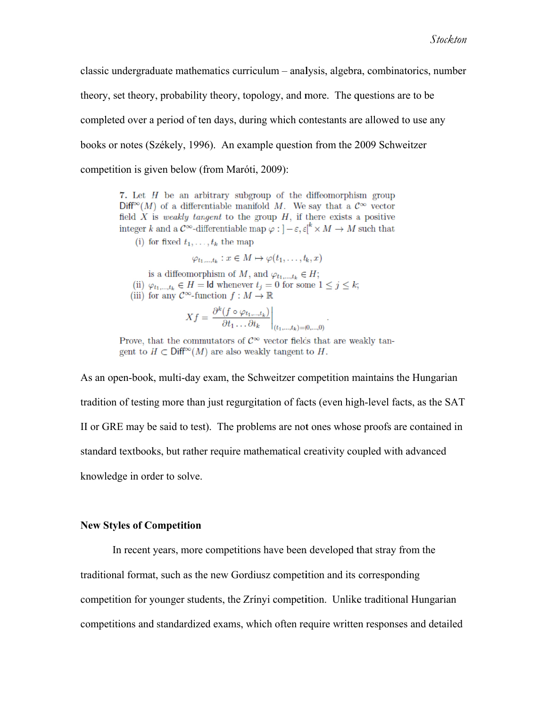classic undergraduate mathematics curriculum - analysis, algebra, combinatorics, number theory, set theory, probability theory, topology, and more. The questions are to be completed over a period of ten days, during which contestants are allowed to use any books or notes (Székely, 1996). An example question from the 2009 Schweitzer competition is given below (from Maróti, 2009):

7. Let  $H$  be an arbitrary subgroup of the diffeomorphism group  $Diff^{\infty}(M)$  of a differentiable manifold M. We say that a  $\mathcal{C}^{\infty}$  vector field  $X$  is *weakly tangent* to the group  $H$ , if there exists a positive integer k and a  $\mathcal{C}^{\infty}$ -differentiable map  $\varphi : ]-\varepsilon,\varepsilon[^k \times M \to M$  such that

(i) for fixed  $t_1, \ldots, t_k$  the map

$$
\varphi_{t_1,\ldots,t_k}: x\in M \mapsto \varphi(t_1,\ldots,t_k,x)
$$

is a diffeomorphism of M, and  $\varphi_{t_1,\dots,t_k} \in H$ ; (ii)  $\varphi_{t_1,\dots,t_k} \in H = \mathsf{Id}$  whenever  $t_j = 0$  for some  $1 \leq j \leq k$ ; (iii) for any  $\mathcal{C}^{\infty}$ -function  $f: M \to \mathbb{R}$ 

$$
Xf = \left. \frac{\partial^k (f \circ \varphi_{t_1,\dots,t_k})}{\partial t_1 \dots \partial t_k} \right|_{(t_1,\dots,t_k)=(0,\dots,0)}
$$

Prove, that the commutators of  $\mathcal{C}^{\infty}$  vector fields that are weakly tangent to  $H \subset \text{Diff}^{\infty}(M)$  are also weakly tangent to H.

As an open-book, multi-day exam, the Schweitzer competition maintains the Hungarian tradition of testing more than just regurgitation of facts (even high-level facts, as the SAT II or GRE may be said to test). The problems are not ones whose proofs are contained in standard textbooks, but rather require mathematical creativity coupled with advanced knowledge in order to solve. T<br>n<br>d

#### **New Styles of Competition**

traditional format, such as the new Gordiusz competition and its corresponding competition for younger students, the Zrínyi competition. Unlike traditional Hungarian competitions and standardized exams, which often require written responses and detailed In recent years, more competitions have been developed that stray from the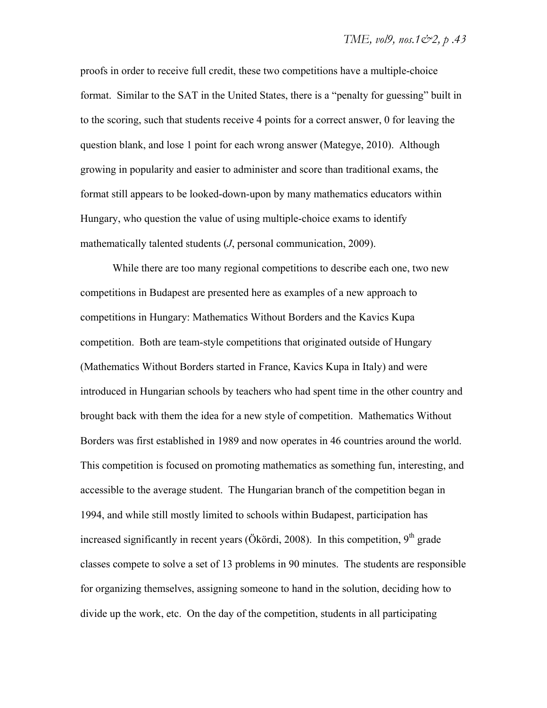proofs in order to receive full credit, these two competitions have a multiple-choice format. Similar to the SAT in the United States, there is a "penalty for guessing" built in to the scoring, such that students receive 4 points for a correct answer, 0 for leaving the question blank, and lose 1 point for each wrong answer (Mategye, 2010). Although growing in popularity and easier to administer and score than traditional exams, the format still appears to be looked-down-upon by many mathematics educators within Hungary, who question the value of using multiple-choice exams to identify mathematically talented students (*J*, personal communication, 2009).

While there are too many regional competitions to describe each one, two new competitions in Budapest are presented here as examples of a new approach to competitions in Hungary: Mathematics Without Borders and the Kavics Kupa competition. Both are team-style competitions that originated outside of Hungary (Mathematics Without Borders started in France, Kavics Kupa in Italy) and were introduced in Hungarian schools by teachers who had spent time in the other country and brought back with them the idea for a new style of competition. Mathematics Without Borders was first established in 1989 and now operates in 46 countries around the world. This competition is focused on promoting mathematics as something fun, interesting, and accessible to the average student. The Hungarian branch of the competition began in 1994, and while still mostly limited to schools within Budapest, participation has increased significantly in recent years (Ökördi, 2008). In this competition,  $9<sup>th</sup>$  grade classes compete to solve a set of 13 problems in 90 minutes. The students are responsible for organizing themselves, assigning someone to hand in the solution, deciding how to divide up the work, etc. On the day of the competition, students in all participating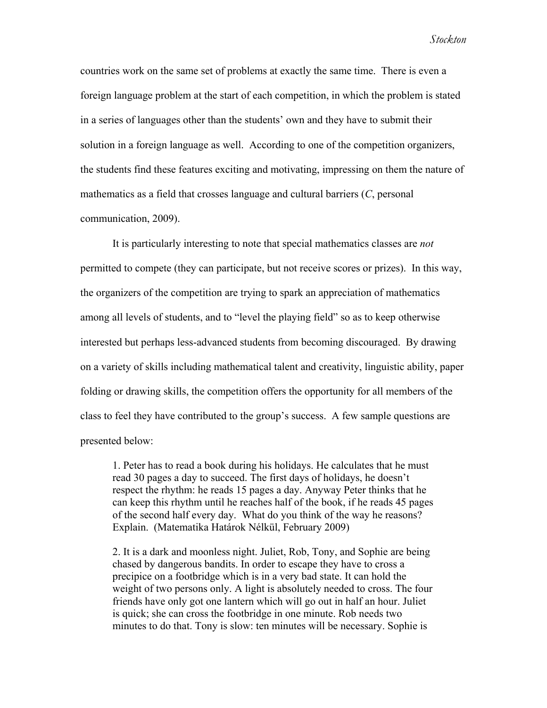countries work on the same set of problems at exactly the same time. There is even a foreign language problem at the start of each competition, in which the problem is stated in a series of languages other than the students' own and they have to submit their solution in a foreign language as well. According to one of the competition organizers, the students find these features exciting and motivating, impressing on them the nature of mathematics as a field that crosses language and cultural barriers (*C*, personal communication, 2009).

It is particularly interesting to note that special mathematics classes are *not* permitted to compete (they can participate, but not receive scores or prizes). In this way, the organizers of the competition are trying to spark an appreciation of mathematics among all levels of students, and to "level the playing field" so as to keep otherwise interested but perhaps less-advanced students from becoming discouraged. By drawing on a variety of skills including mathematical talent and creativity, linguistic ability, paper folding or drawing skills, the competition offers the opportunity for all members of the class to feel they have contributed to the group's success. A few sample questions are presented below:

1. Peter has to read a book during his holidays. He calculates that he must read 30 pages a day to succeed. The first days of holidays, he doesn't respect the rhythm: he reads 15 pages a day. Anyway Peter thinks that he can keep this rhythm until he reaches half of the book, if he reads 45 pages of the second half every day. What do you think of the way he reasons? Explain. (Matematika Határok Nélkül, February 2009)

2. It is a dark and moonless night. Juliet, Rob, Tony, and Sophie are being chased by dangerous bandits. In order to escape they have to cross a precipice on a footbridge which is in a very bad state. It can hold the weight of two persons only. A light is absolutely needed to cross. The four friends have only got one lantern which will go out in half an hour. Juliet is quick; she can cross the footbridge in one minute. Rob needs two minutes to do that. Tony is slow: ten minutes will be necessary. Sophie is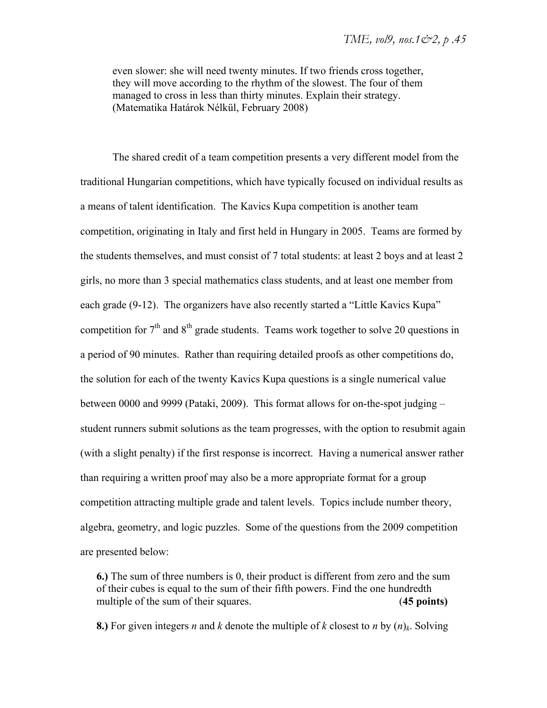even slower: she will need twenty minutes. If two friends cross together, they will move according to the rhythm of the slowest. The four of them managed to cross in less than thirty minutes. Explain their strategy. (Matematika Határok Nélkül, February 2008)

The shared credit of a team competition presents a very different model from the traditional Hungarian competitions, which have typically focused on individual results as a means of talent identification. The Kavics Kupa competition is another team competition, originating in Italy and first held in Hungary in 2005. Teams are formed by the students themselves, and must consist of 7 total students: at least 2 boys and at least 2 girls, no more than 3 special mathematics class students, and at least one member from each grade (9-12). The organizers have also recently started a "Little Kavics Kupa" competition for  $7<sup>th</sup>$  and  $8<sup>th</sup>$  grade students. Teams work together to solve 20 questions in a period of 90 minutes. Rather than requiring detailed proofs as other competitions do, the solution for each of the twenty Kavics Kupa questions is a single numerical value between 0000 and 9999 (Pataki, 2009). This format allows for on-the-spot judging – student runners submit solutions as the team progresses, with the option to resubmit again (with a slight penalty) if the first response is incorrect. Having a numerical answer rather than requiring a written proof may also be a more appropriate format for a group competition attracting multiple grade and talent levels. Topics include number theory, algebra, geometry, and logic puzzles. Some of the questions from the 2009 competition are presented below:

**6.)** The sum of three numbers is 0, their product is different from zero and the sum of their cubes is equal to the sum of their fifth powers. Find the one hundredth multiple of the sum of their squares. **(45 points)** 

**8.**) For given integers *n* and *k* denote the multiple of *k* closest to *n* by  $(n)_k$ . Solving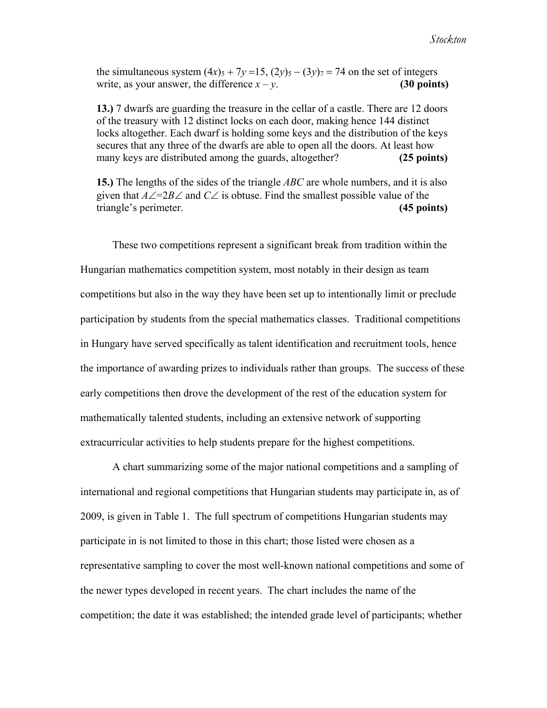the simultaneous system  $(4x)$ <sub>5</sub> + 7*y* = 15,  $(2y)$ <sub>5</sub> –  $(3y)$ <sub>7</sub> = 74 on the set of integers write, as your answer, the difference  $x - y$ . **(30 points)** 

**13.)** 7 dwarfs are guarding the treasure in the cellar of a castle. There are 12 doors of the treasury with 12 distinct locks on each door, making hence 144 distinct locks altogether. Each dwarf is holding some keys and the distribution of the keys secures that any three of the dwarfs are able to open all the doors. At least how many keys are distributed among the guards, altogether? **(25 points)** 

**15.)** The lengths of the sides of the triangle *ABC* are whole numbers, and it is also given that  $A\angle =2B\angle$  and  $C\angle$  is obtuse. Find the smallest possible value of the triangle's perimeter. **(45 points)** 

These two competitions represent a significant break from tradition within the Hungarian mathematics competition system, most notably in their design as team competitions but also in the way they have been set up to intentionally limit or preclude participation by students from the special mathematics classes. Traditional competitions in Hungary have served specifically as talent identification and recruitment tools, hence the importance of awarding prizes to individuals rather than groups. The success of these early competitions then drove the development of the rest of the education system for mathematically talented students, including an extensive network of supporting extracurricular activities to help students prepare for the highest competitions.

A chart summarizing some of the major national competitions and a sampling of international and regional competitions that Hungarian students may participate in, as of 2009, is given in Table 1. The full spectrum of competitions Hungarian students may participate in is not limited to those in this chart; those listed were chosen as a representative sampling to cover the most well-known national competitions and some of the newer types developed in recent years. The chart includes the name of the competition; the date it was established; the intended grade level of participants; whether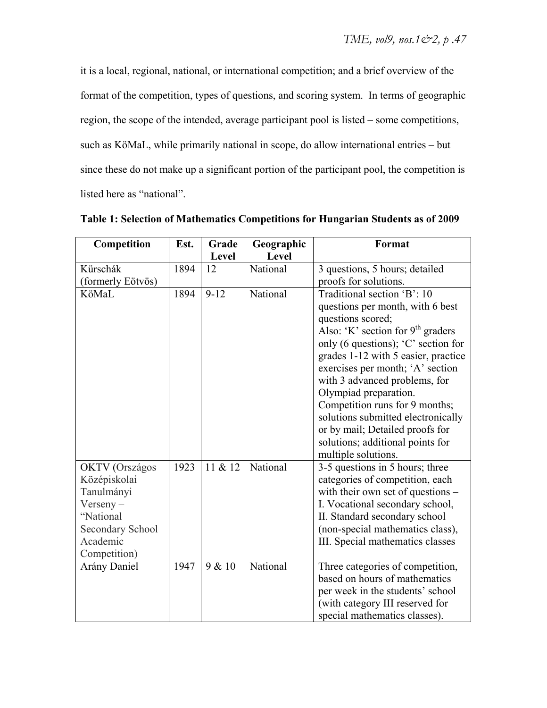it is a local, regional, national, or international competition; and a brief overview of the format of the competition, types of questions, and scoring system. In terms of geographic region, the scope of the intended, average participant pool is listed – some competitions, such as KöMaL, while primarily national in scope, do allow international entries – but since these do not make up a significant portion of the participant pool, the competition is listed here as "national".

| Competition           | Est. | Grade    | Geographic | Format                              |
|-----------------------|------|----------|------------|-------------------------------------|
|                       |      | Level    | Level      |                                     |
| Kürschák              | 1894 | 12       | National   | 3 questions, 5 hours; detailed      |
| (formerly Eötvös)     |      |          |            | proofs for solutions.               |
| KöMaL                 | 1894 | $9 - 12$ | National   | Traditional section 'B': 10         |
|                       |      |          |            | questions per month, with 6 best    |
|                       |      |          |            | questions scored;                   |
|                       |      |          |            | Also: 'K' section for $9th$ graders |
|                       |      |          |            | only (6 questions); 'C' section for |
|                       |      |          |            | grades 1-12 with 5 easier, practice |
|                       |      |          |            | exercises per month; 'A' section    |
|                       |      |          |            | with 3 advanced problems, for       |
|                       |      |          |            | Olympiad preparation.               |
|                       |      |          |            | Competition runs for 9 months;      |
|                       |      |          |            | solutions submitted electronically  |
|                       |      |          |            | or by mail; Detailed proofs for     |
|                       |      |          |            | solutions; additional points for    |
|                       |      |          |            | multiple solutions.                 |
| <b>OKTV</b> (Országos | 1923 | 11 & 12  | National   | 3-5 questions in 5 hours; three     |
| Középiskolai          |      |          |            | categories of competition, each     |
| Tanulmányi            |      |          |            | with their own set of questions –   |
| $Verseny -$           |      |          |            | I. Vocational secondary school,     |
| "National             |      |          |            | II. Standard secondary school       |
| Secondary School      |      |          |            | (non-special mathematics class),    |
| Academic              |      |          |            | III. Special mathematics classes    |
| Competition)          |      | 9 & 10   |            |                                     |
| Arány Daniel          | 1947 |          | National   | Three categories of competition,    |
|                       |      |          |            | based on hours of mathematics       |
|                       |      |          |            | per week in the students' school    |
|                       |      |          |            | (with category III reserved for     |
|                       |      |          |            | special mathematics classes).       |

**Table 1: Selection of Mathematics Competitions for Hungarian Students as of 2009**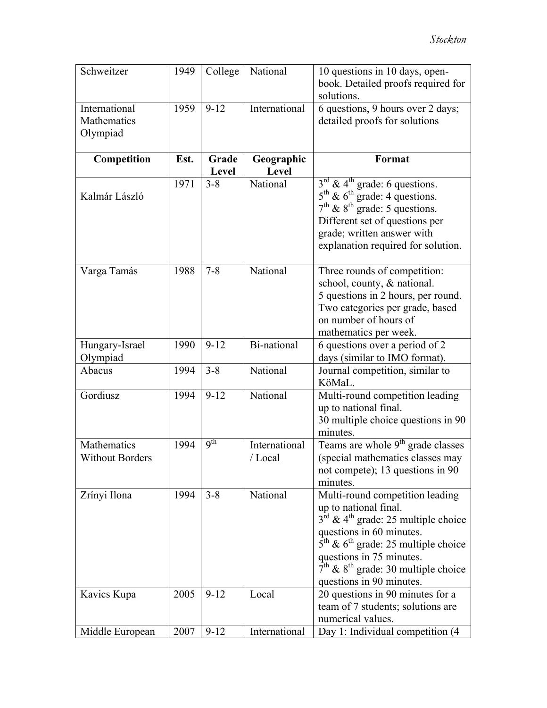| Schweitzer                               | 1949 | College         | National                | 10 questions in 10 days, open-<br>book. Detailed proofs required for<br>solutions.                                                                                                                                                                                                                                    |
|------------------------------------------|------|-----------------|-------------------------|-----------------------------------------------------------------------------------------------------------------------------------------------------------------------------------------------------------------------------------------------------------------------------------------------------------------------|
| International<br>Mathematics<br>Olympiad | 1959 | $9 - 12$        | International           | 6 questions, 9 hours over 2 days;<br>detailed proofs for solutions                                                                                                                                                                                                                                                    |
| Competition                              | Est. | Grade<br>Level  | Geographic<br>Level     | Format                                                                                                                                                                                                                                                                                                                |
| Kalmár László                            | 1971 | $3 - 8$         | National                | $3^{\text{rd}}$ & 4 <sup>th</sup> grade: 6 questions.<br>$5^{\text{th}}$ & $6^{\text{th}}$ grade: 4 questions.<br>$7^{\text{th}}$ & $8^{\text{th}}$ grade: 5 questions.<br>Different set of questions per<br>grade; written answer with<br>explanation required for solution.                                         |
| Varga Tamás                              | 1988 | $7 - 8$         | National                | Three rounds of competition:<br>school, county, & national.<br>5 questions in 2 hours, per round.<br>Two categories per grade, based<br>on number of hours of<br>mathematics per week.                                                                                                                                |
| Hungary-Israel<br>Olympiad               | 1990 | $9 - 12$        | Bi-national             | 6 questions over a period of 2<br>days (similar to IMO format).                                                                                                                                                                                                                                                       |
| Abacus                                   | 1994 | $3 - 8$         | National                | Journal competition, similar to<br>KöMaL.                                                                                                                                                                                                                                                                             |
| Gordiusz                                 | 1994 | $9 - 12$        | National                | Multi-round competition leading<br>up to national final.<br>30 multiple choice questions in 90<br>minutes.                                                                                                                                                                                                            |
| Mathematics<br><b>Without Borders</b>    | 1994 | q <sup>th</sup> | International<br>/Local | Teams are whole 9 <sup>th</sup> grade classes<br>(special mathematics classes may<br>not compete); 13 questions in 90<br>minutes.                                                                                                                                                                                     |
| Zrínyi Ilona                             | 1994 | $3 - 8$         | National                | Multi-round competition leading<br>up to national final.<br>$3^{\text{rd}}$ & 4 <sup>th</sup> grade: 25 multiple choice<br>questions in 60 minutes.<br>$5^{\text{th}}$ & $6^{\text{th}}$ grade: 25 multiple choice<br>questions in 75 minutes.<br>$7th$ & $8th$ grade: 30 multiple choice<br>questions in 90 minutes. |
| Kavics Kupa                              | 2005 | $9 - 12$        | Local                   | 20 questions in 90 minutes for a<br>team of 7 students; solutions are<br>numerical values.                                                                                                                                                                                                                            |
| Middle European                          | 2007 | $9 - 12$        | International           | Day 1: Individual competition (4                                                                                                                                                                                                                                                                                      |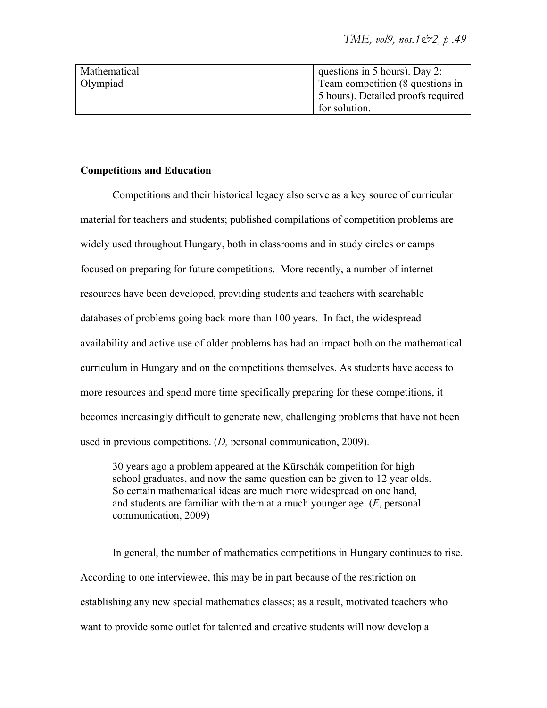| Mathematical |  | questions in 5 hours). Day 2:      |
|--------------|--|------------------------------------|
| Olympiad     |  | Team competition (8 questions in   |
|              |  | 5 hours). Detailed proofs required |
|              |  | for solution.                      |

#### **Competitions and Education**

Competitions and their historical legacy also serve as a key source of curricular material for teachers and students; published compilations of competition problems are widely used throughout Hungary, both in classrooms and in study circles or camps focused on preparing for future competitions. More recently, a number of internet resources have been developed, providing students and teachers with searchable databases of problems going back more than 100 years. In fact, the widespread availability and active use of older problems has had an impact both on the mathematical curriculum in Hungary and on the competitions themselves. As students have access to more resources and spend more time specifically preparing for these competitions, it becomes increasingly difficult to generate new, challenging problems that have not been used in previous competitions. (*D,* personal communication, 2009).

30 years ago a problem appeared at the Kürschák competition for high school graduates, and now the same question can be given to 12 year olds. So certain mathematical ideas are much more widespread on one hand, and students are familiar with them at a much younger age. (*E*, personal communication, 2009)

In general, the number of mathematics competitions in Hungary continues to rise. According to one interviewee, this may be in part because of the restriction on establishing any new special mathematics classes; as a result, motivated teachers who want to provide some outlet for talented and creative students will now develop a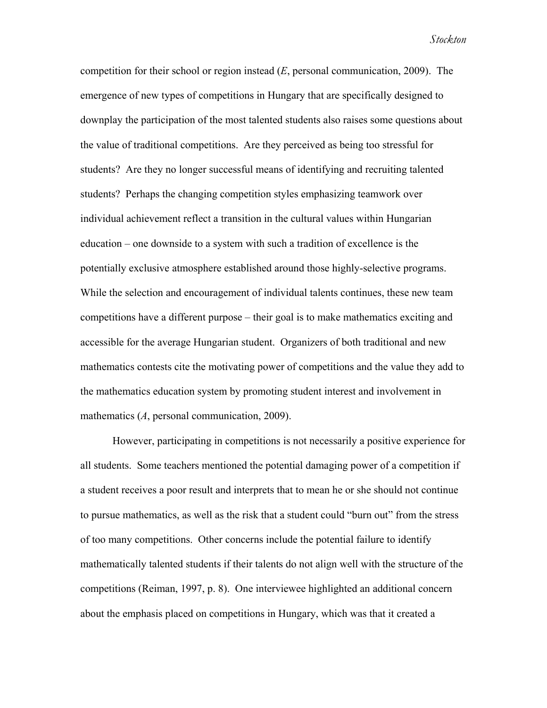competition for their school or region instead (*E*, personal communication, 2009). The emergence of new types of competitions in Hungary that are specifically designed to downplay the participation of the most talented students also raises some questions about the value of traditional competitions. Are they perceived as being too stressful for students? Are they no longer successful means of identifying and recruiting talented students? Perhaps the changing competition styles emphasizing teamwork over individual achievement reflect a transition in the cultural values within Hungarian education – one downside to a system with such a tradition of excellence is the potentially exclusive atmosphere established around those highly-selective programs. While the selection and encouragement of individual talents continues, these new team competitions have a different purpose – their goal is to make mathematics exciting and accessible for the average Hungarian student. Organizers of both traditional and new mathematics contests cite the motivating power of competitions and the value they add to the mathematics education system by promoting student interest and involvement in mathematics (*A*, personal communication, 2009).

However, participating in competitions is not necessarily a positive experience for all students. Some teachers mentioned the potential damaging power of a competition if a student receives a poor result and interprets that to mean he or she should not continue to pursue mathematics, as well as the risk that a student could "burn out" from the stress of too many competitions. Other concerns include the potential failure to identify mathematically talented students if their talents do not align well with the structure of the competitions (Reiman, 1997, p. 8). One interviewee highlighted an additional concern about the emphasis placed on competitions in Hungary, which was that it created a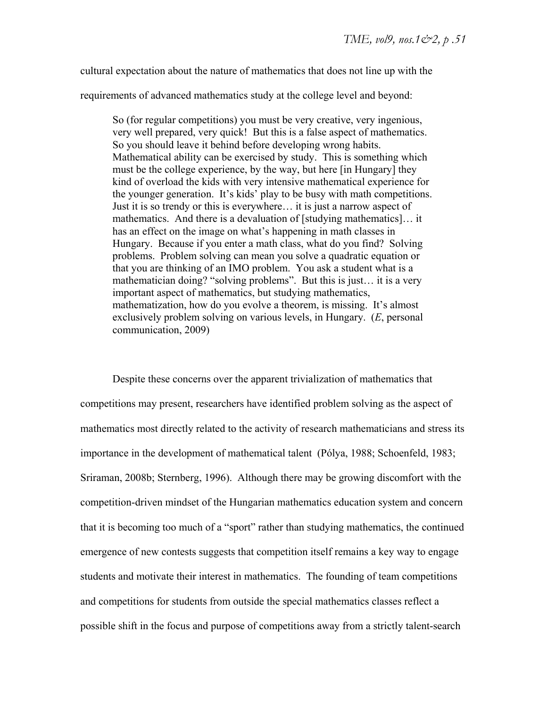cultural expectation about the nature of mathematics that does not line up with the

requirements of advanced mathematics study at the college level and beyond:

So (for regular competitions) you must be very creative, very ingenious, very well prepared, very quick! But this is a false aspect of mathematics. So you should leave it behind before developing wrong habits. Mathematical ability can be exercised by study. This is something which must be the college experience, by the way, but here [in Hungary] they kind of overload the kids with very intensive mathematical experience for the younger generation. It's kids' play to be busy with math competitions. Just it is so trendy or this is everywhere… it is just a narrow aspect of mathematics. And there is a devaluation of [studying mathematics]… it has an effect on the image on what's happening in math classes in Hungary. Because if you enter a math class, what do you find? Solving problems. Problem solving can mean you solve a quadratic equation or that you are thinking of an IMO problem. You ask a student what is a mathematician doing? "solving problems". But this is just… it is a very important aspect of mathematics, but studying mathematics, mathematization, how do you evolve a theorem, is missing. It's almost exclusively problem solving on various levels, in Hungary. (*E*, personal communication, 2009)

Despite these concerns over the apparent trivialization of mathematics that competitions may present, researchers have identified problem solving as the aspect of mathematics most directly related to the activity of research mathematicians and stress its importance in the development of mathematical talent (Pólya, 1988; Schoenfeld, 1983; Sriraman, 2008b; Sternberg, 1996). Although there may be growing discomfort with the competition-driven mindset of the Hungarian mathematics education system and concern that it is becoming too much of a "sport" rather than studying mathematics, the continued emergence of new contests suggests that competition itself remains a key way to engage students and motivate their interest in mathematics. The founding of team competitions and competitions for students from outside the special mathematics classes reflect a possible shift in the focus and purpose of competitions away from a strictly talent-search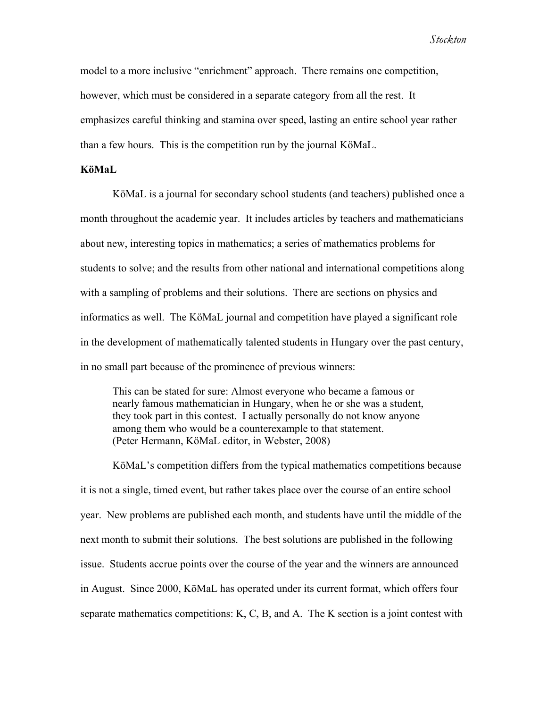model to a more inclusive "enrichment" approach. There remains one competition, however, which must be considered in a separate category from all the rest. It emphasizes careful thinking and stamina over speed, lasting an entire school year rather than a few hours. This is the competition run by the journal KöMaL.

#### **KöMaL**

KöMaL is a journal for secondary school students (and teachers) published once a month throughout the academic year. It includes articles by teachers and mathematicians about new, interesting topics in mathematics; a series of mathematics problems for students to solve; and the results from other national and international competitions along with a sampling of problems and their solutions. There are sections on physics and informatics as well. The KöMaL journal and competition have played a significant role in the development of mathematically talented students in Hungary over the past century, in no small part because of the prominence of previous winners:

This can be stated for sure: Almost everyone who became a famous or nearly famous mathematician in Hungary, when he or she was a student, they took part in this contest. I actually personally do not know anyone among them who would be a counterexample to that statement. (Peter Hermann, KöMaL editor, in Webster, 2008)

KöMaL's competition differs from the typical mathematics competitions because it is not a single, timed event, but rather takes place over the course of an entire school year. New problems are published each month, and students have until the middle of the next month to submit their solutions. The best solutions are published in the following issue. Students accrue points over the course of the year and the winners are announced in August. Since 2000, KöMaL has operated under its current format, which offers four separate mathematics competitions: K, C, B, and A. The K section is a joint contest with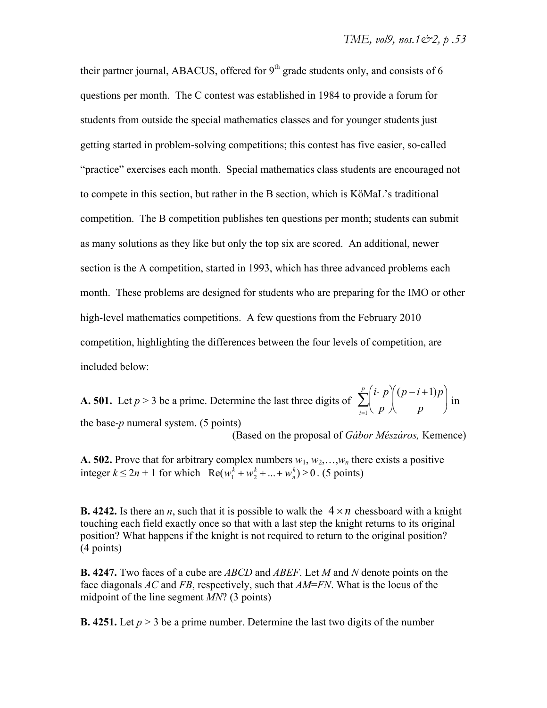their partner journal, ABACUS, offered for  $9<sup>th</sup>$  grade students only, and consists of 6 questions per month. The C contest was established in 1984 to provide a forum for students from outside the special mathematics classes and for younger students just getting started in problem-solving competitions; this contest has five easier, so-called "practice" exercises each month. Special mathematics class students are encouraged not to compete in this section, but rather in the B section, which is KöMaL's traditional competition. The B competition publishes ten questions per month; students can submit as many solutions as they like but only the top six are scored. An additional, newer section is the A competition, started in 1993, which has three advanced problems each month. These problems are designed for students who are preparing for the IMO or other high-level mathematics competitions. A few questions from the February 2010 competition, highlighting the differences between the four levels of competition, are included below:

**A. 501.** Let  $p > 3$  be a prime. Determine the last three digits of  $\sum_{r=1}^{n} \binom{r}{r}$ the base-*p* numeral system. (5 points) *i p p*  $\binom{i \cdot p}{p} (p-i+1)p$  $\binom{(p-i+1)p}{p}$  $i=1$  $\sum_{ }^{p}$ 

(Based on the proposal of *Gábor Mészáros,* Kemence)

**A. 502.** Prove that for arbitrary complex numbers  $w_1, w_2, \ldots, w_n$  there exists a positive  $\text{integer } k \leq 2n + 1 \text{ for which } \text{Re}(w_1^k + w_2^k + ... + w_n^k) \geq 0.$  (5 points)

**B. 4242.** Is there an *n*, such that it is possible to walk the  $4 \times n$  chessboard with a knight touching each field exactly once so that with a last step the knight returns to its original position? What happens if the knight is not required to return to the original position? (4 points)

**B. 4247.** Two faces of a cube are *ABCD* and *ABEF*. Let *M* and *N* denote points on the face diagonals *AC* and *FB*, respectively, such that *AM*=*FN*. What is the locus of the midpoint of the line segment *MN*? (3 points)

**B. 4251.** Let  $p > 3$  be a prime number. Determine the last two digits of the number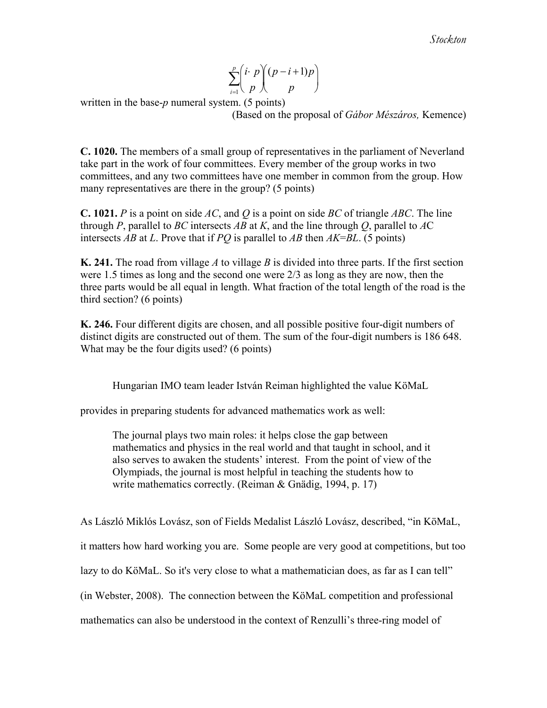$$
\sum_{i=1}^{p} \binom{i \cdot p}{p} \binom{(p-i+1)p}{p}
$$

written in the base-*p* numeral system. (5 points)

(Based on the proposal of *Gábor Mészáros,* Kemence)

**C. 1020.** The members of a small group of representatives in the parliament of Neverland take part in the work of four committees. Every member of the group works in two committees, and any two committees have one member in common from the group. How many representatives are there in the group? (5 points)

**C. 1021.** *P* is a point on side *AC*, and *Q* is a point on side *BC* of triangle *ABC*. The line through *P*, parallel to *BC* intersects *AB* at *K*, and the line through *Q*, parallel to *A*C intersects *AB* at *L*. Prove that if *PQ* is parallel to *AB* then *AK*=*BL*. (5 points)

**K. 241.** The road from village *A* to village *B* is divided into three parts. If the first section were 1.5 times as long and the second one were 2/3 as long as they are now, then the three parts would be all equal in length. What fraction of the total length of the road is the third section? (6 points)

**K. 246.** Four different digits are chosen, and all possible positive four-digit numbers of distinct digits are constructed out of them. The sum of the four-digit numbers is 186 648. What may be the four digits used? (6 points)

Hungarian IMO team leader István Reiman highlighted the value KöMaL

provides in preparing students for advanced mathematics work as well:

The journal plays two main roles: it helps close the gap between mathematics and physics in the real world and that taught in school, and it also serves to awaken the students' interest. From the point of view of the Olympiads, the journal is most helpful in teaching the students how to write mathematics correctly. (Reiman & Gnädig, 1994, p. 17)

As László Miklós Lovász, son of Fields Medalist László Lovász, described, "in KöMaL,

it matters how hard working you are. Some people are very good at competitions, but too

lazy to do KöMaL. So it's very close to what a mathematician does, as far as I can tell"

(in Webster, 2008). The connection between the KöMaL competition and professional

mathematics can also be understood in the context of Renzulli's three-ring model of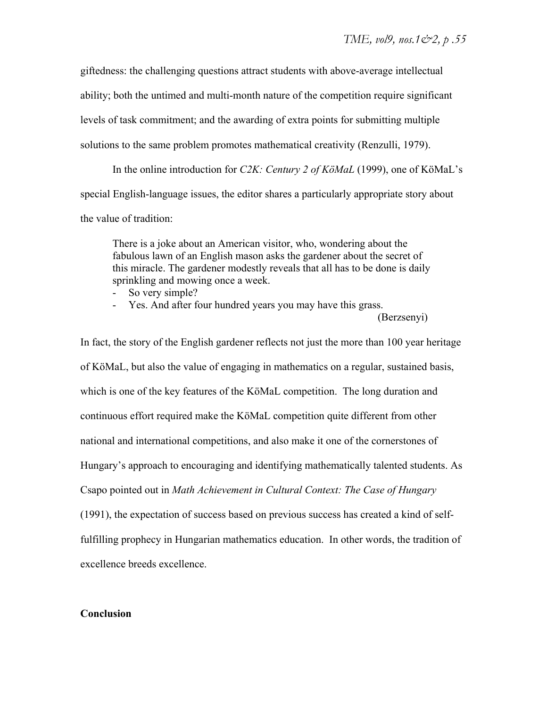giftedness: the challenging questions attract students with above-average intellectual ability; both the untimed and multi-month nature of the competition require significant levels of task commitment; and the awarding of extra points for submitting multiple solutions to the same problem promotes mathematical creativity (Renzulli, 1979).

In the online introduction for *C2K: Century 2 of KöMaL* (1999), one of KöMaL's special English-language issues, the editor shares a particularly appropriate story about the value of tradition:

There is a joke about an American visitor, who, wondering about the fabulous lawn of an English mason asks the gardener about the secret of this miracle. The gardener modestly reveals that all has to be done is daily sprinkling and mowing once a week.

- So very simple?
- Yes. And after four hundred years you may have this grass.

(Berzsenyi)

In fact, the story of the English gardener reflects not just the more than 100 year heritage of KöMaL, but also the value of engaging in mathematics on a regular, sustained basis, which is one of the key features of the KöMaL competition. The long duration and continuous effort required make the KöMaL competition quite different from other national and international competitions, and also make it one of the cornerstones of Hungary's approach to encouraging and identifying mathematically talented students. As Csapo pointed out in *Math Achievement in Cultural Context: The Case of Hungary* (1991), the expectation of success based on previous success has created a kind of selffulfilling prophecy in Hungarian mathematics education. In other words, the tradition of excellence breeds excellence.

#### **Conclusion**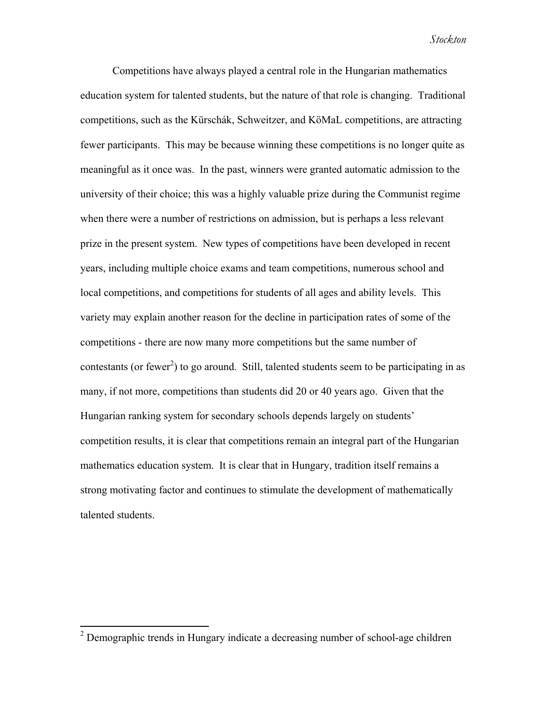Competitions have always played a central role in the Hungarian mathematics education system for talented students, but the nature of that role is changing. Traditional competitions, such as the Kürschák, Schweitzer, and KöMaL competitions, are attracting fewer participants. This may be because winning these competitions is no longer quite as meaningful as it once was. In the past, winners were granted automatic admission to the university of their choice; this was a highly valuable prize during the Communist regime when there were a number of restrictions on admission, but is perhaps a less relevant prize in the present system. New types of competitions have been developed in recent years, including multiple choice exams and team competitions, numerous school and local competitions, and competitions for students of all ages and ability levels. This variety may explain another reason for the decline in participation rates of some of the competitions - there are now many more competitions but the same number of contestants (or fewer<sup>2</sup>) to go around. Still, talented students seem to be participating in as many, if not more, competitions than students did 20 or 40 years ago. Given that the Hungarian ranking system for secondary schools depends largely on students' competition results, it is clear that competitions remain an integral part of the Hungarian mathematics education system. It is clear that in Hungary, tradition itself remains a strong motivating factor and continues to stimulate the development of mathematically talented students.

<sup>&</sup>lt;sup>2</sup> Demographic trends in Hungary indicate a decreasing number of school-age children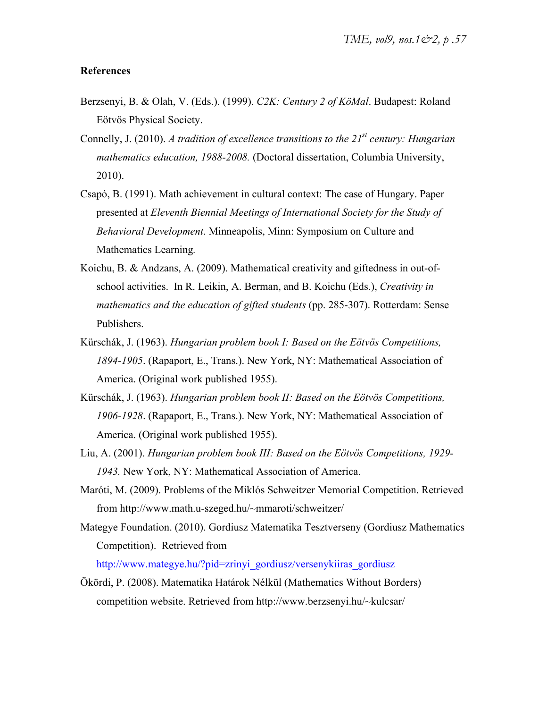#### **References**

- Berzsenyi, B. & Olah, V. (Eds.). (1999). *C2K: Century 2 of KöMal*. Budapest: Roland Eötvös Physical Society.
- Connelly, J. (2010). *A tradition of excellence transitions to the 21st century: Hungarian mathematics education, 1988-2008.* (Doctoral dissertation, Columbia University, 2010).
- Csapó, B. (1991). Math achievement in cultural context: The case of Hungary. Paper presented at *Eleventh Biennial Meetings of International Society for the Study of Behavioral Development*. Minneapolis, Minn: Symposium on Culture and Mathematics Learning*.*
- Koichu, B. & Andzans, A. (2009). Mathematical creativity and giftedness in out-ofschool activities. In R. Leikin, A. Berman, and B. Koichu (Eds.), *Creativity in mathematics and the education of gifted students* (pp. 285-307). Rotterdam: Sense Publishers.
- Kürschák, J. (1963). *Hungarian problem book I: Based on the Eötvös Competitions, 1894-1905*. (Rapaport, E., Trans.). New York, NY: Mathematical Association of America. (Original work published 1955).
- Kürschák, J. (1963). *Hungarian problem book II: Based on the Eötvös Competitions, 1906-1928*. (Rapaport, E., Trans.). New York, NY: Mathematical Association of America. (Original work published 1955).
- Liu, A. (2001). *Hungarian problem book III: Based on the Eötvös Competitions, 1929- 1943.* New York, NY: Mathematical Association of America.
- Maróti, M. (2009). Problems of the Miklós Schweitzer Memorial Competition. Retrieved from http://www.math.u-szeged.hu/~mmaroti/schweitzer/
- Mategye Foundation. (2010). Gordiusz Matematika Tesztverseny (Gordiusz Mathematics Competition). Retrieved from

http://www.mategye.hu/?pid=zrinyi\_gordiusz/versenykiiras\_gordiusz

Ökördi, P. (2008). Matematika Határok Nélkül (Mathematics Without Borders) competition website. Retrieved from http://www.berzsenyi.hu/~kulcsar/